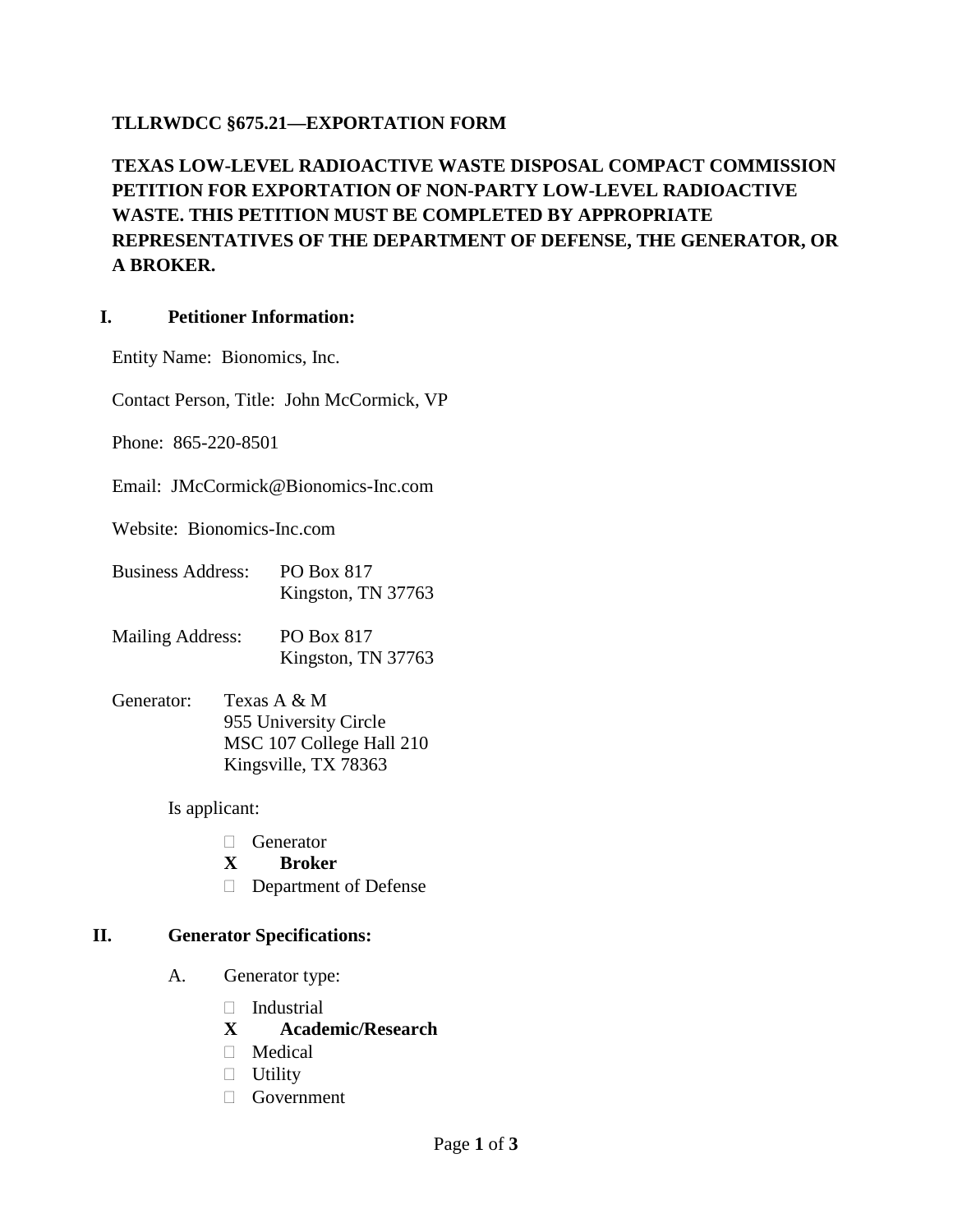## **TLLRWDCC §675.21—EXPORTATION FORM**

# **TEXAS LOW-LEVEL RADIOACTIVE WASTE DISPOSAL COMPACT COMMISSION PETITION FOR EXPORTATION OF NON-PARTY LOW-LEVEL RADIOACTIVE WASTE. THIS PETITION MUST BE COMPLETED BY APPROPRIATE REPRESENTATIVES OF THE DEPARTMENT OF DEFENSE, THE GENERATOR, OR A BROKER.**

#### **I. Petitioner Information:**

Entity Name: Bionomics, Inc.

Contact Person, Title: John McCormick, VP

Phone: 865-220-8501

Email: JMcCormick@Bionomics-Inc.com

Website: Bionomics-Inc.com

- Business Address: PO Box 817 Kingston, TN 37763
- Mailing Address: PO Box 817 Kingston, TN 37763
- Generator: Texas A & M 955 University Circle MSC 107 College Hall 210 Kingsville, TX 78363

Is applicant:

- **C**enerator
- **X Broker**
- Department of Defense

#### **II. Generator Specifications:**

- A. Generator type:
	- Industrial
	- **X Academic/Research**
	- Medical
	- $\Box$  Utility
	- Government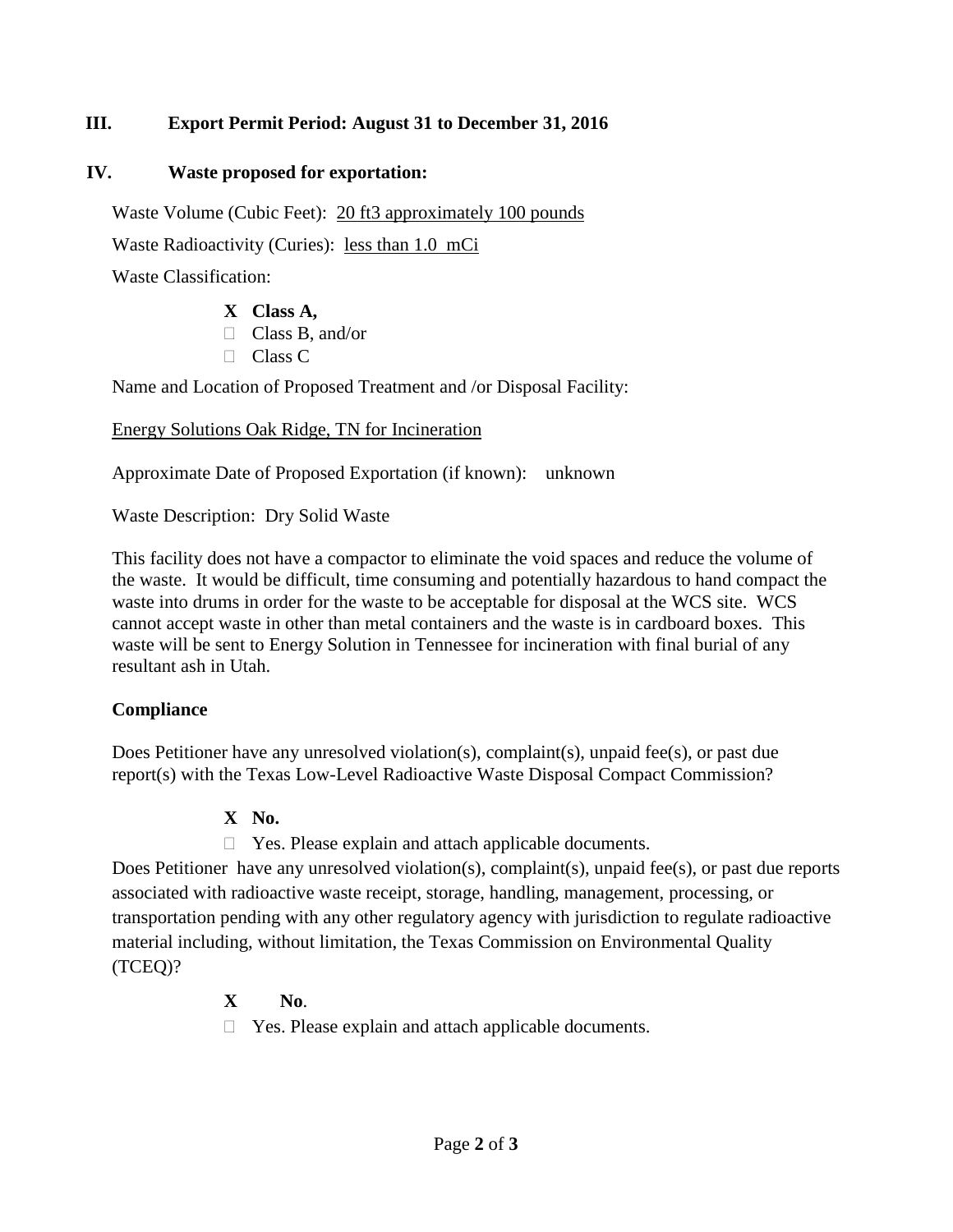## **III. Export Permit Period: August 31 to December 31, 2016**

#### **IV. Waste proposed for exportation:**

Waste Volume (Cubic Feet): 20 ft3 approximately 100 pounds

Waste Radioactivity (Curies): less than 1.0 mCi

Waste Classification:

#### **X Class A,**

- Class B, and/or
- □ Class C

Name and Location of Proposed Treatment and /or Disposal Facility:

Energy Solutions Oak Ridge, TN for Incineration

Approximate Date of Proposed Exportation (if known): unknown

Waste Description: Dry Solid Waste

This facility does not have a compactor to eliminate the void spaces and reduce the volume of the waste. It would be difficult, time consuming and potentially hazardous to hand compact the waste into drums in order for the waste to be acceptable for disposal at the WCS site. WCS cannot accept waste in other than metal containers and the waste is in cardboard boxes. This waste will be sent to Energy Solution in Tennessee for incineration with final burial of any resultant ash in Utah.

## **Compliance**

Does Petitioner have any unresolved violation(s), complaint(s), unpaid fee(s), or past due report(s) with the Texas Low-Level Radioactive Waste Disposal Compact Commission?

## **X No.**

□ Yes. Please explain and attach applicable documents.

Does Petitioner have any unresolved violation(s), complaint(s), unpaid fee(s), or past due reports associated with radioactive waste receipt, storage, handling, management, processing, or transportation pending with any other regulatory agency with jurisdiction to regulate radioactive material including, without limitation, the Texas Commission on Environmental Quality (TCEQ)?

# **X No**.

□ Yes. Please explain and attach applicable documents.